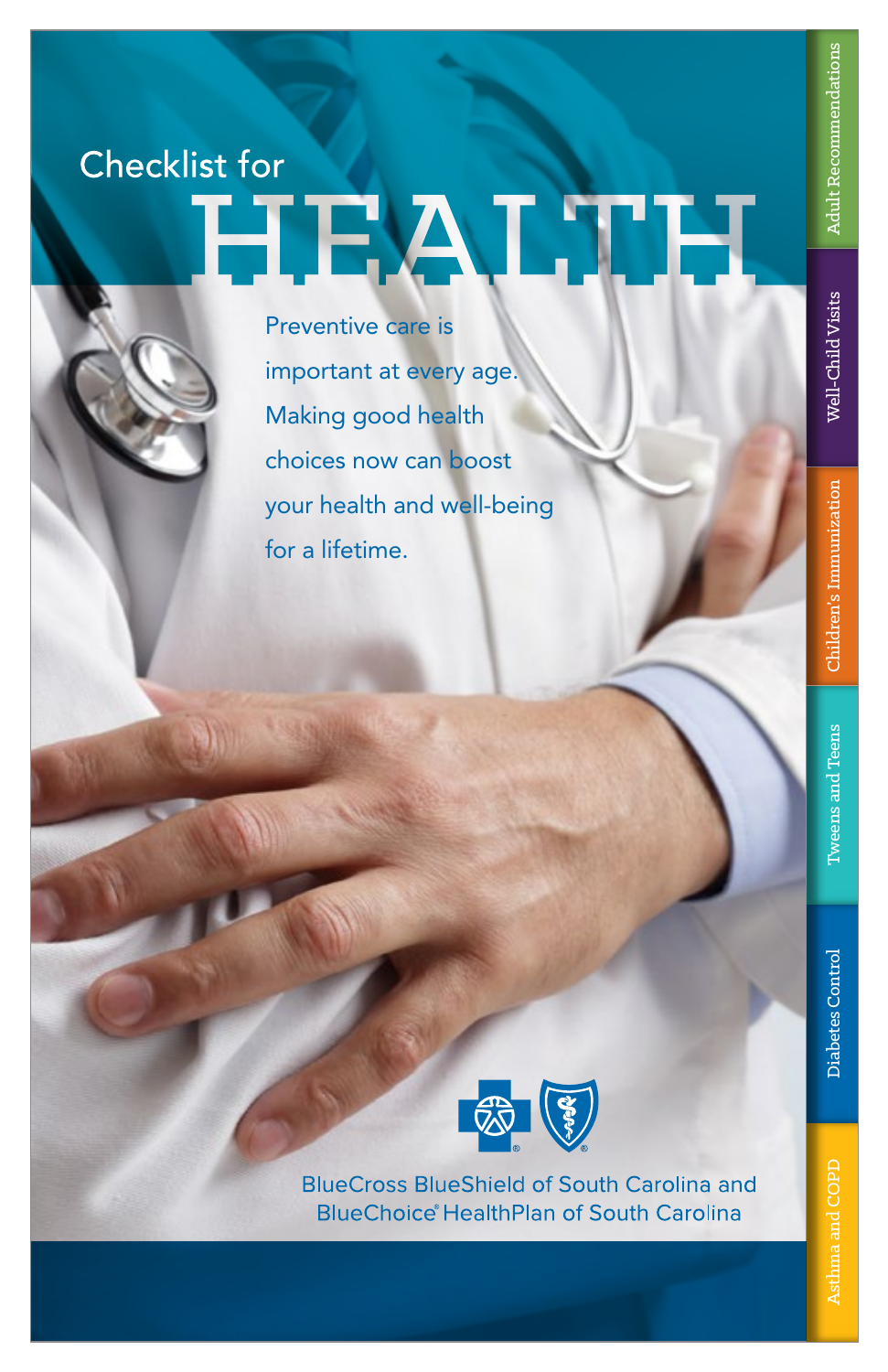# Well-Child Visits Well-Child Visits

# **Checklist for HEALTH**

Preventive care is important at every age. Making good health choices now can boost your health and well-being for a lifetime.



**BlueCross BlueShield of South Carolina and BlueChoice HealthPlan of South Carolina**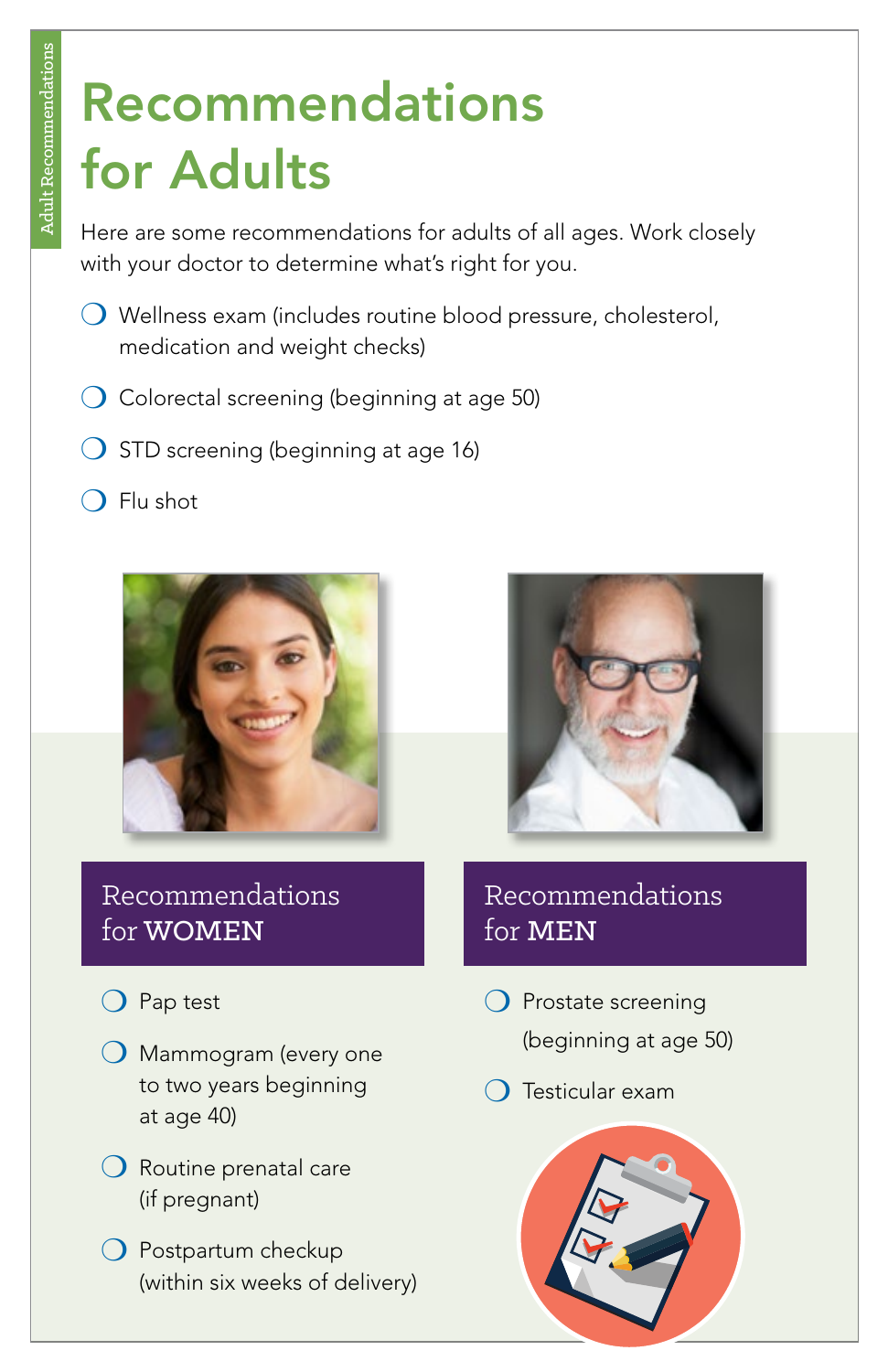### Recommendations for Adults

Here are some recommendations for adults of all ages. Work closely with your doctor to determine what's right for you.

- ❍ Wellness exam (includes routine blood pressure, cholesterol, medication and weight checks)
- $\bigcirc$  Colorectal screening (beginning at age 50)
- $\bigcirc$  STD screening (beginning at age 16)
- $\bigcirc$  Flu shot





### Recommendations for WOMEN

- ❍ Pap test
- ❍ Mammogram (every one to two years beginning at age 40)
- ❍ Routine prenatal care (if pregnant)
- ❍ Postpartum checkup (within six weeks of delivery)

### Recommendations for MEN

- ❍ Prostate screening (beginning at age 50)
- ❍ Testicular exam

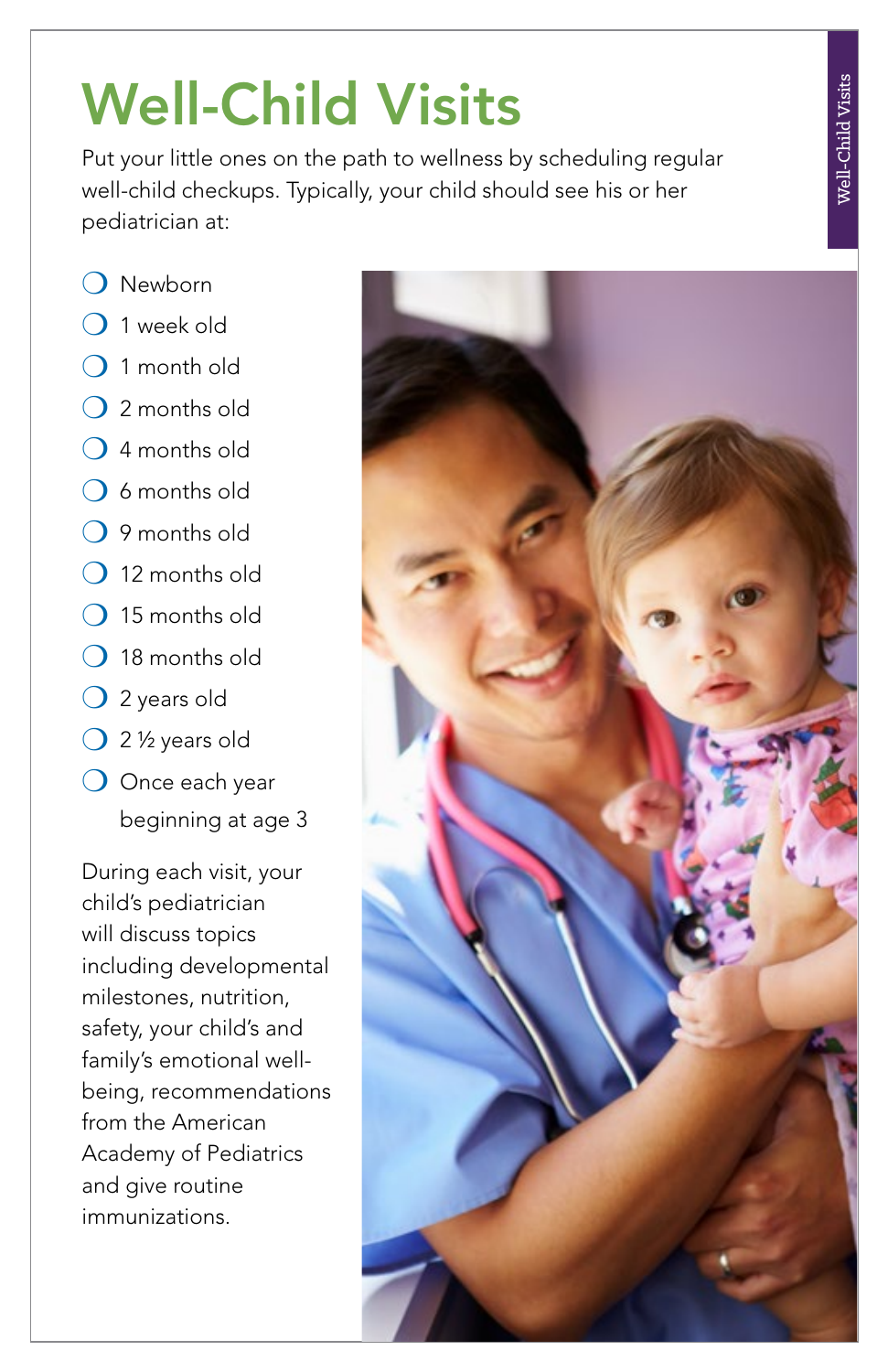# Well-Child Visits

Put your little ones on the path to wellness by scheduling regular well-child checkups. Typically, your child should see his or her pediatrician at:

- ❍ Newborn
- ❍ 1 week old
- ❍ 1 month old
- ❍ 2 months old
- ❍ 4 months old
- ❍ 6 months old
- ❍ 9 months old
- ❍ 12 months old
- $\bigcirc$  15 months old
- ❍ 18 months old
- ❍ 2 years old
- ❍ 2 ½ years old
- ❍ Once each year beginning at age 3

During each visit, your child's pediatrician will discuss topics including developmental milestones, nutrition, safety, your child's and family's emotional wellbeing, recommendations from the American Academy of Pediatrics and give routine immunizations.

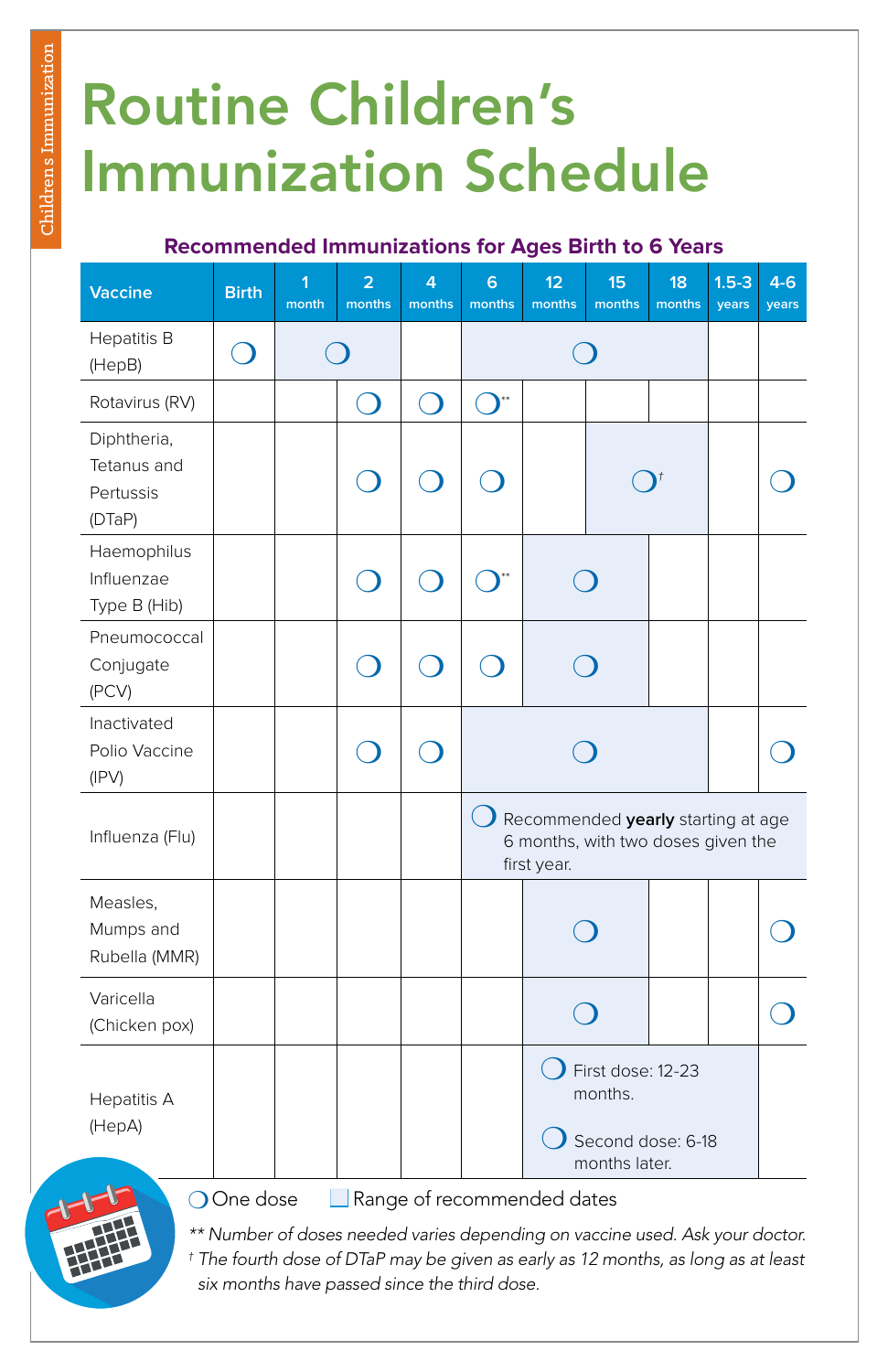## Routine Children's Immunization Schedule

#### **Recommended Immunizations for Ages Birth to 6 Years**

| <b>Vaccine</b>                                    | <b>Birth</b> | $\overline{1}$<br>month | $\overline{2}$<br>months | 4<br>months | $6\overline{6}$<br>months | 12<br>months                                                                                     | 15<br>months | 18<br>months | $1.5 - 3$<br>years | $4 - 6$<br>years |  |
|---------------------------------------------------|--------------|-------------------------|--------------------------|-------------|---------------------------|--------------------------------------------------------------------------------------------------|--------------|--------------|--------------------|------------------|--|
| Hepatitis B<br>(HepB)                             |              |                         |                          |             |                           |                                                                                                  |              |              |                    |                  |  |
| Rotavirus (RV)                                    |              |                         |                          | $\Box$      |                           |                                                                                                  |              |              |                    |                  |  |
| Diphtheria,<br>Tetanus and<br>Pertussis<br>(DTaP) |              |                         |                          |             |                           |                                                                                                  |              |              |                    |                  |  |
| Haemophilus<br>Influenzae<br>Type B (Hib)         |              |                         |                          |             |                           |                                                                                                  |              |              |                    |                  |  |
| Pneumococcal<br>Conjugate<br>(PCV)                |              |                         |                          |             |                           |                                                                                                  |              |              |                    |                  |  |
| Inactivated<br>Polio Vaccine<br>(IPV)             |              |                         |                          |             |                           |                                                                                                  |              |              |                    |                  |  |
| Influenza (Flu)                                   |              |                         |                          |             |                           | Recommended yearly starting at age<br>6 months, with two doses given the<br>first year.          |              |              |                    |                  |  |
| Measles,<br>Mumps and<br>Rubella (MMR)            |              |                         |                          |             |                           |                                                                                                  |              |              |                    |                  |  |
| Varicella<br>(Chicken pox)                        |              |                         |                          |             |                           |                                                                                                  |              |              |                    |                  |  |
| <b>Hepatitis A</b><br>(HepA)                      | OOne dose    |                         |                          |             |                           | First dose: 12-23<br>months.<br>Second dose: 6-18<br>months later.<br>Range of recommended dates |              |              |                    |                  |  |



 $\Box$  Range of recommended dates

\*\* Number of doses needed varies depending on vaccine used. Ask your doctor.  *\*\* Number of doses needed varies depending on vaccine used. Ask your doctor. † The fourth dose of DTaP may be given as early as 12 months, as long as at least six months have passed since the third dose.*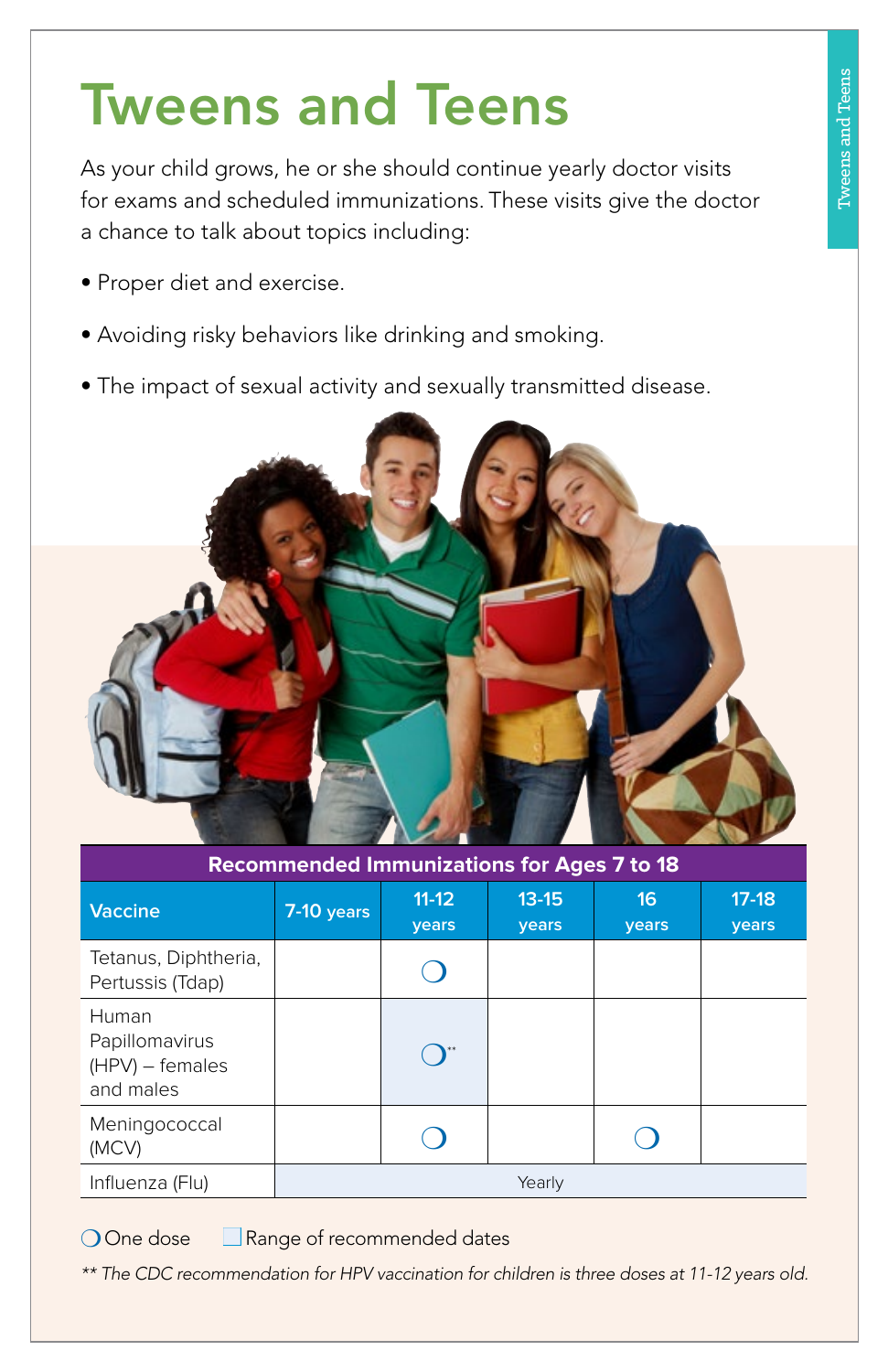### Tweens and Teens

As your child grows, he or she should continue yearly doctor visits for exams and scheduled immunizations. These visits give the doctor a chance to talk about topics including:

- Proper diet and exercise.
- Avoiding risky behaviors like drinking and smoking.
- The impact of sexual activity and sexually transmitted disease.



| <b>Recommended Immunizations for Ages 7 to 18</b>         |              |                  |                           |             |                  |  |  |  |  |  |
|-----------------------------------------------------------|--------------|------------------|---------------------------|-------------|------------------|--|--|--|--|--|
| <b>Vaccine</b>                                            | $7-10$ years | $11-12$<br>years | $13 - 15$<br><b>vears</b> | 16<br>years | $17-18$<br>years |  |  |  |  |  |
| Tetanus, Diphtheria,<br>Pertussis (Tdap)                  |              |                  |                           |             |                  |  |  |  |  |  |
| Human<br>Papillomavirus<br>$(HPV)$ – females<br>and males |              |                  |                           |             |                  |  |  |  |  |  |
| Meningococcal<br>(MCV)                                    |              |                  |                           |             |                  |  |  |  |  |  |
| Influenza (Flu)                                           | Yearly       |                  |                           |             |                  |  |  |  |  |  |

O One dose **□ Range of recommended dates** 

*\*\* The CDC recommendation for HPV vaccination for children is three doses at 11-12 years old.*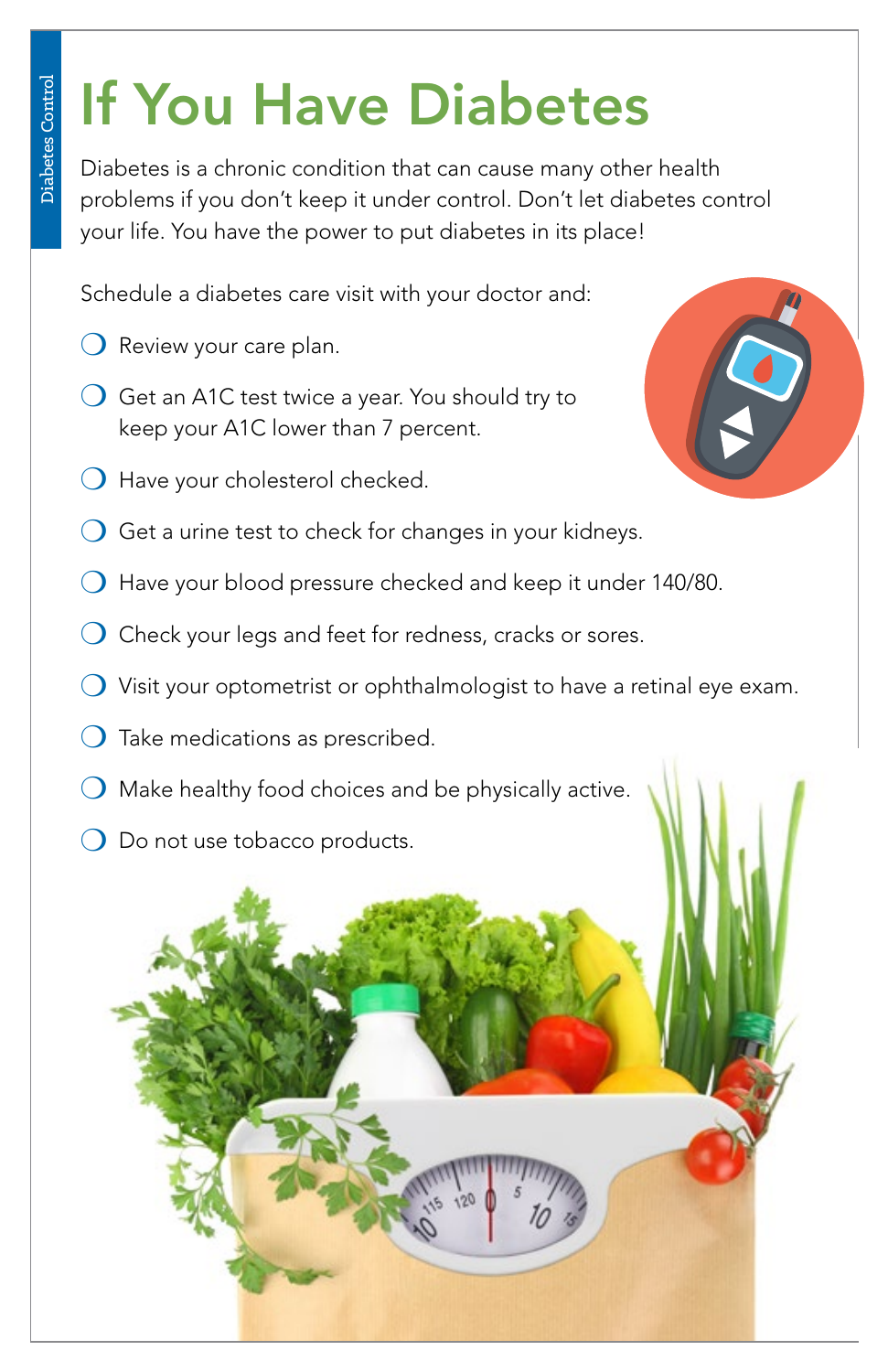# If You Have Diabetes

Diabetes is a chronic condition that can cause many other health problems if you don't keep it under control. Don't let diabetes control your life. You have the power to put diabetes in its place!

Schedule a diabetes care visit with your doctor and:

- ❍ Review your care plan.
- $\bigcirc$  Get an A1C test twice a year. You should try to keep your A1C lower than 7 percent.
- ❍ Have your cholesterol checked.



- $\bigcirc$  Get a urine test to check for changes in your kidneys.
- ❍ Have your blood pressure checked and keep it under 140/80.
- ❍ Check your legs and feet for redness, cracks or sores.
- $\bigcirc$  Visit your optometrist or ophthalmologist to have a retinal eye exam.
- $\bigcirc$  Take medications as prescribed.
- $\bigcirc$  Make healthy food choices and be physically active.
- O Do not use tobacco products.

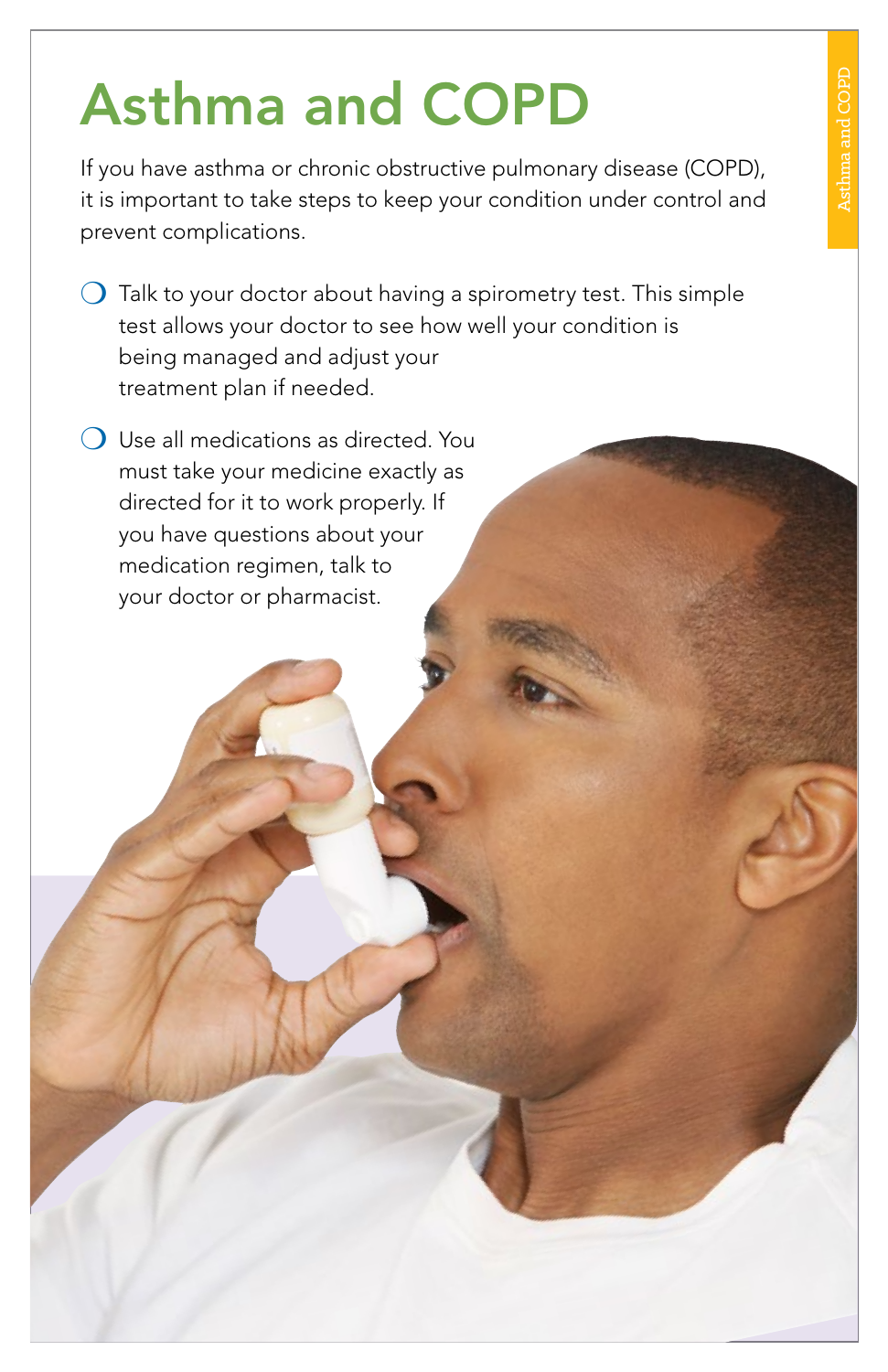# Asthma and COPD

If you have asthma or chronic obstructive pulmonary disease (COPD), it is important to take steps to keep your condition under control and prevent complications.

- $\bigcirc$  Talk to your doctor about having a spirometry test. This simple test allows your doctor to see how well your condition is being managed and adjust your treatment plan if needed.
- $\bigcirc$  Use all medications as directed. You must take your medicine exactly as directed for it to work properly. If you have questions about your medication regimen, talk to your doctor or pharmacist.